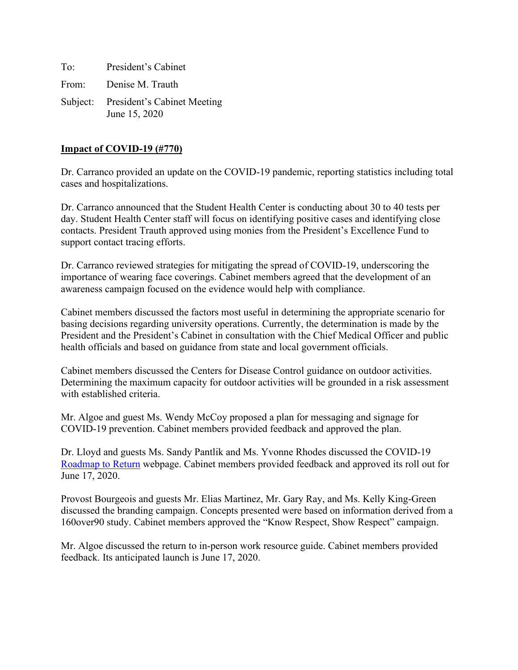To: President's Cabinet From: Denise M. Trauth Subject: President's Cabinet Meeting June 15, 2020

# **Impact of COVID-19 (#770)**

Dr. Carranco provided an update on the COVID-19 pandemic, reporting statistics including total cases and hospitalizations.

Dr. Carranco announced that the Student Health Center is conducting about 30 to 40 tests per day. Student Health Center staff will focus on identifying positive cases and identifying close contacts. President Trauth approved using monies from the President's Excellence Fund to support contact tracing efforts.

Dr. Carranco reviewed strategies for mitigating the spread of COVID-19, underscoring the importance of wearing face coverings. Cabinet members agreed that the development of an awareness campaign focused on the evidence would help with compliance.

Cabinet members discussed the factors most useful in determining the appropriate scenario for basing decisions regarding university operations. Currently, the determination is made by the President and the President's Cabinet in consultation with the Chief Medical Officer and public health officials and based on guidance from state and local government officials.

Cabinet members discussed the Centers for Disease Control guidance on outdoor activities. Determining the maximum capacity for outdoor activities will be grounded in a risk assessment with established criteria.

Mr. Algoe and guest Ms. Wendy McCoy proposed a plan for messaging and signage for COVID-19 prevention. Cabinet members provided feedback and approved the plan.

Dr. Lloyd and guests Ms. Sandy Pantlik and Ms. Yvonne Rhodes discussed the COVID-19 [Roadmap to Return](https://www.txstate.edu/coronavirus/road-map.html) webpage. Cabinet members provided feedback and approved its roll out for June 17, 2020.

Provost Bourgeois and guests Mr. Elias Martinez, Mr. Gary Ray, and Ms. Kelly King-Green discussed the branding campaign. Concepts presented were based on information derived from a 160over90 study. Cabinet members approved the "Know Respect, Show Respect" campaign.

Mr. Algoe discussed the return to in-person work resource guide. Cabinet members provided feedback. Its anticipated launch is June 17, 2020.